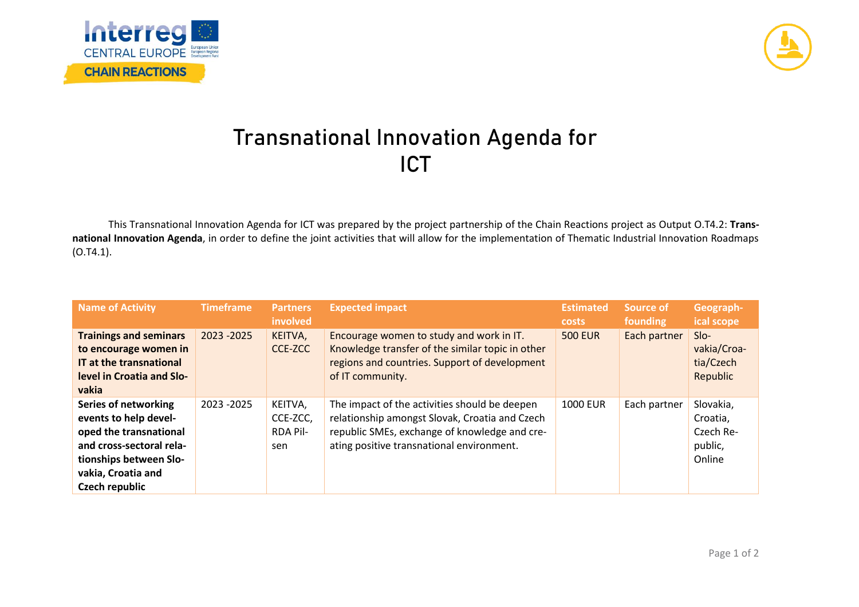



## **Transnational Innovation Agenda for ICT**

This Transnational Innovation Agenda for ICT was prepared by the project partnership of the Chain Reactions project as Output O.T4.2: **Transnational Innovation Agenda**, in order to define the joint activities that will allow for the implementation of Thematic Industrial Innovation Roadmaps (O.T4.1).

| <b>Name of Activity</b>                                                                                                                                                      | <b>Timeframe</b> | <b>Partners</b><br>involved                   | <b>Expected impact</b>                                                                                                                                                                        | <b>Estimated</b><br><b>costs</b> | Source of<br>founding | Geograph-<br>ical scope                                 |
|------------------------------------------------------------------------------------------------------------------------------------------------------------------------------|------------------|-----------------------------------------------|-----------------------------------------------------------------------------------------------------------------------------------------------------------------------------------------------|----------------------------------|-----------------------|---------------------------------------------------------|
| <b>Trainings and seminars</b><br>to encourage women in<br>IT at the transnational<br>level in Croatia and Slo-<br>vakia                                                      | 2023 - 2025      | KEITVA,<br>CCE-ZCC                            | Encourage women to study and work in IT.<br>Knowledge transfer of the similar topic in other<br>regions and countries. Support of development<br>of IT community.                             | <b>500 EUR</b>                   | Each partner          | $SIO-$<br>vakia/Croa-<br>tia/Czech<br>Republic          |
| Series of networking<br>events to help devel-<br>oped the transnational<br>and cross-sectoral rela-<br>tionships between Slo-<br>vakia, Croatia and<br><b>Czech republic</b> | 2023 - 2025      | KEITVA,<br>CCE-ZCC,<br><b>RDA Pil-</b><br>sen | The impact of the activities should be deepen<br>relationship amongst Slovak, Croatia and Czech<br>republic SMEs, exchange of knowledge and cre-<br>ating positive transnational environment. | <b>1000 EUR</b>                  | Each partner          | Slovakia,<br>Croatia,<br>Czech Re-<br>public,<br>Online |